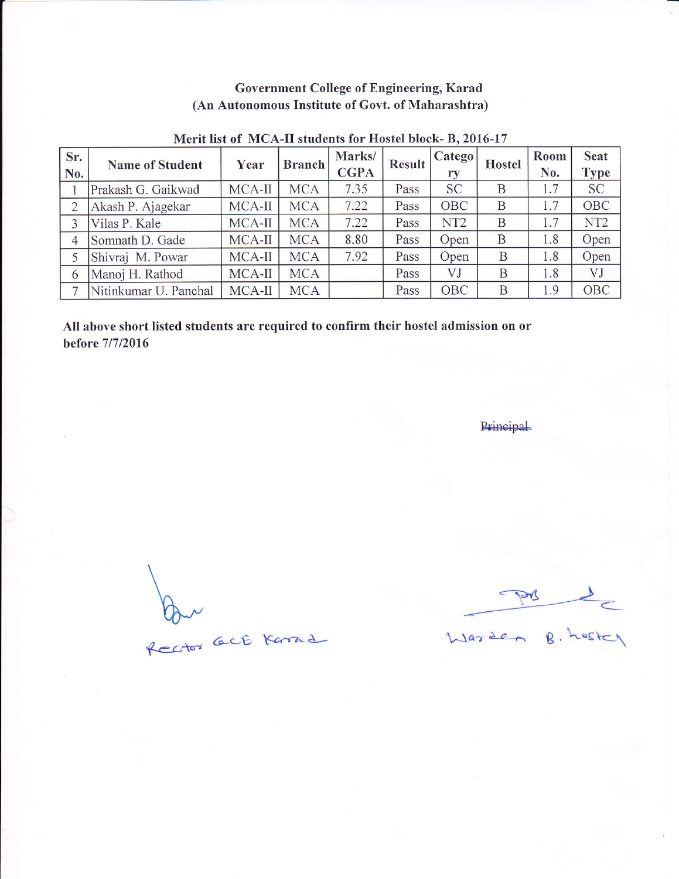## Government College of Engineering, Karad (An Autonomous Institute of Govt. of Maharashtra)

| Sr.<br>No.     | <b>Name of Student</b> | Year     | <b>Branch</b> | Marks/<br><b>CGPA</b> | <b>Result</b> | (Catego<br>ry   | <b>Hostel</b> | Room<br>No.      | <b>Seat</b><br><b>Type</b> |
|----------------|------------------------|----------|---------------|-----------------------|---------------|-----------------|---------------|------------------|----------------------------|
|                | Prakash G. Gaikwad     | MCA-II   | <b>MCA</b>    | 7.35                  | Pass          | <b>SC</b>       | B             | .7               | <b>SC</b>                  |
| $\overline{2}$ | Akash P. Ajagekar      | MCA-II   | <b>MCA</b>    | 7.22                  | Pass          | OBC             | B             | .7               | OBC                        |
| 3              | Vilas P. Kale          | MCA-II   | <b>MCA</b>    | 7.22                  | Pass          | NT <sub>2</sub> | B             | $\overline{1.7}$ | NT <sub>2</sub>            |
| $\overline{4}$ | Somnath D. Gade        | MCA-II   | <b>MCA</b>    | 8.80                  | Pass          | Open            | B             | .8               | Open                       |
| 5              | Shivraj M. Powar       | MCA-II   | <b>MCA</b>    | 7.92                  | Pass          | Open            | B             | .8               | Open                       |
| 6              | Manoj H. Rathod        | $MCA-II$ | <b>MCA</b>    |                       | Pass          | VJ              | B             | .8               | VJ                         |
|                | Nitinkumar U. Panchal  | MCA-II   | <b>MCA</b>    |                       | Pass          | OBC             | B             | 1.9              | OBC                        |

### Merit list of MCA-II students for Hostel block- B, 2016-17

All above short listed students are required to confirm their hostel admission on or before 71712016

Principal

Par act Karne

 $\rightarrow$ m \_\_

 $\lambda$ larden  $\beta$ , hoster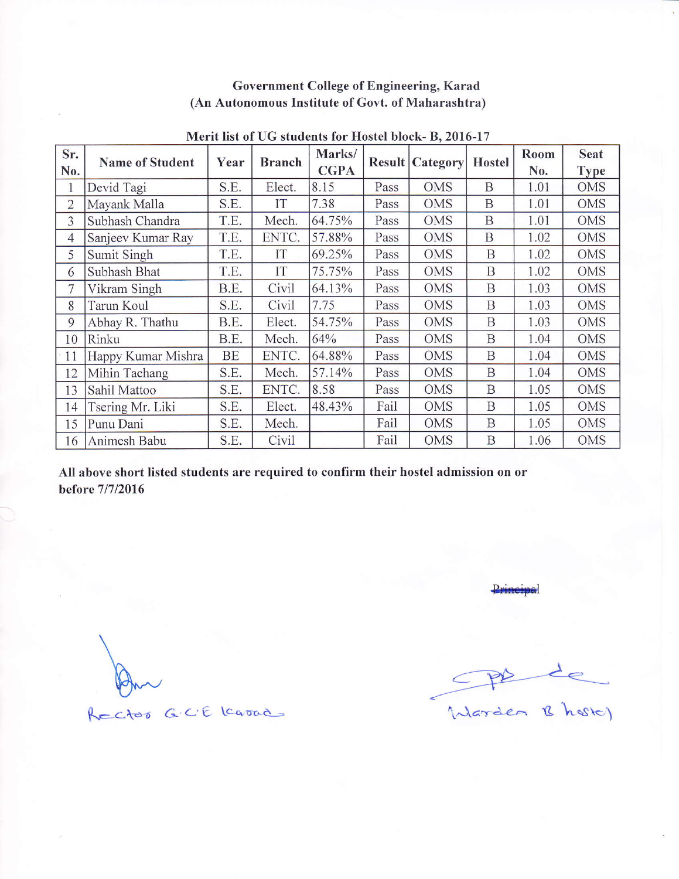### Government College of Engineering, Karad (An Autonomous Institute of Govt. of Maharashtra)

| Sr.            | <b>Name of Student</b> | Year | <b>Branch</b> | Marks/      |      | <b>Result Category</b> | <b>Hostel</b> | Room | <b>Seat</b> |
|----------------|------------------------|------|---------------|-------------|------|------------------------|---------------|------|-------------|
| No.            |                        |      |               | <b>CGPA</b> |      |                        |               | No.  | <b>Type</b> |
|                | Devid Tagi             | S.E. | Elect.        | 8.15        | Pass | <b>OMS</b>             | B             | 1.01 | <b>OMS</b>  |
| $\overline{2}$ | Mayank Malla           | S.E. | IT            | 7.38        | Pass | <b>OMS</b>             | B             | 1.01 | <b>OMS</b>  |
| 3              | Subhash Chandra        | T.E. | Mech.         | 64.75%      | Pass | <b>OMS</b>             | B             | 1.01 | <b>OMS</b>  |
| 4              | Sanjeev Kumar Ray      | T.E. | ENTC.         | 57.88%      | Pass | <b>OMS</b>             | B             | 1.02 | <b>OMS</b>  |
| 5              | Sumit Singh            | T.E. | IT            | 69.25%      | Pass | <b>OMS</b>             | B             | 1.02 | <b>OMS</b>  |
| 6              | Subhash Bhat           | T.E. | IT            | 75.75%      | Pass | <b>OMS</b>             | B             | 1.02 | <b>OMS</b>  |
| 7              | Vikram Singh           | B.E. | Civil         | 64.13%      | Pass | <b>OMS</b>             | B             | 1.03 | <b>OMS</b>  |
| 8              | Tarun Koul             | S.E. | Civil         | 7.75        | Pass | <b>OMS</b>             | B             | 1.03 | <b>OMS</b>  |
| 9              | Abhay R. Thathu        | B.E. | Elect.        | 54.75%      | Pass | <b>OMS</b>             | B             | 1.03 | OMS         |
| 10             | Rinku                  | B.E. | Mech.         | 64%         | Pass | <b>OMS</b>             | B             | 1.04 | <b>OMS</b>  |
| 11             | Happy Kumar Mishra     | BE   | ENTC.         | 64.88%      | Pass | <b>OMS</b>             | B             | 1.04 | <b>OMS</b>  |
| 12             | Mihin Tachang          | S.E. | Mech.         | 57.14%      | Pass | <b>OMS</b>             | B             | 1.04 | <b>OMS</b>  |
| 13             | Sahil Mattoo           | S.E. | ENTC.         | 8.58        | Pass | <b>OMS</b>             | B             | 1.05 | <b>OMS</b>  |
| 14             | Tsering Mr. Liki       | S.E. | Elect.        | 48.43%      | Fail | <b>OMS</b>             | $\mathbf B$   | 1.05 | <b>OMS</b>  |
| 15             | Punu Dani              | S.E. | Mech.         |             | Fail | <b>OMS</b>             | $\mathbf B$   | 1.05 | <b>OMS</b>  |
| 16             | Animesh Babu           | S.E. | Civil         |             | Fail | <b>OMS</b>             | B             | 1.06 | <b>OMS</b>  |

#### Merit list of UG students for Hostel block- B. 2016-17

All above short listed students are required to confirm their hostel admission on or before 71712016

<u>.</u><br>Principal

The de

RECTOR GCE Karad